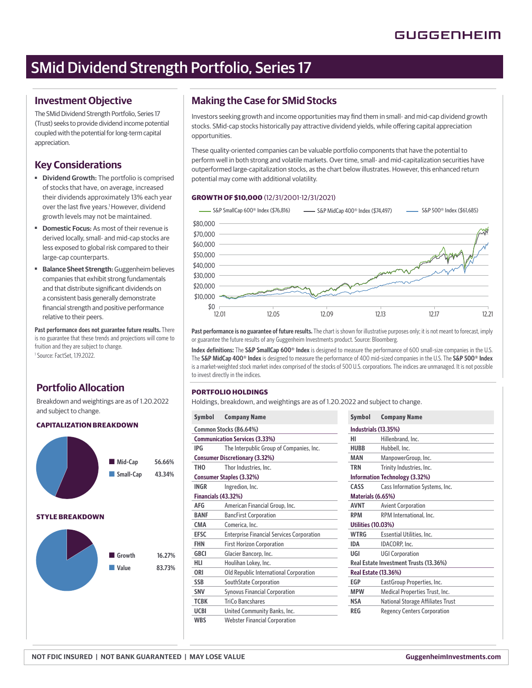# SMid Dividend Strength Portfolio, Series 17

### **Investment Objective**

The SMid Dividend Strength Portfolio, Series 17 (Trust) seeks to provide dividend income potential coupled with the potential for long-term capital appreciation.

## **Key Considerations**

- ■ **Dividend Growth:** The portfolio is comprised of stocks that have, on average, increased their dividends approximately 13% each year over the last five years.<sup>1</sup> However, dividend growth levels may not be maintained.
- **Domestic Focus:** As most of their revenue is derived locally, small- and mid-cap stocks are less exposed to global risk compared to their large-cap counterparts.
- ■ **Balance Sheet Strength:** Guggenheim believes companies that exhibit strong fundamentals and that distribute significant dividends on a consistent basis generally demonstrate financial strength and positive performance relative to their peers.

**Past performance does not guarantee future results.** There is no guarantee that these trends and projections will come to fruition and they are subject to change. 1 Source: FactSet, 1.19.2022.

# **Portfolio Allocation**

Breakdown and weightings are as of 1.20.2022 and subject to change.

### **CAPITALIZATION BREAKDOWN**



### **Making the Case for SMid Stocks**

Investors seeking growth and income opportunities may find them in small- and mid-cap dividend growth stocks. SMid-cap stocks historically pay attractive dividend yields, while offering capital appreciation opportunities.

These quality-oriented companies can be valuable portfolio components that have the potential to perform well in both strong and volatile markets. Over time, small- and mid-capitalization securities have outperformed large-capitalization stocks, as the chart below illustrates. However, this enhanced return potential may come with additional volatility.

### **GROWTH OF \$10,000** (12/31/2001-12/31/2021)



Past performance is no guarantee of future results. The chart is shown for illustrative purposes only; it is not meant to forecast, imply or guarantee the future results of any Guggenheim Investments product. Source: Bloomberg.

**Index definitions:** The **S&P SmallCap 600<sup>®</sup> Index** is designed to measure the performance of 600 small-size companies in the U.S. The **S&P MidCap 400® Index** is designed to measure the performance of 400 mid-sized companies in the U.S. The **S&P 500® Index** is a market-weighted stock market index comprised of the stocks of 500 U.S. corporations. The indices are unmanaged. It is not possible to invest directly in the indices.

### **PORTFOLIO HOLDINGS**

Holdings, breakdown, and weightings are as of 1.20.2022 and subject to change.

| Symbol                                | <b>Company Name</b>                              | Symbol                               | <b>Company Name</b>         |  |
|---------------------------------------|--------------------------------------------------|--------------------------------------|-----------------------------|--|
| Common Stocks (86.64%)                |                                                  |                                      | Industrials (13.35%)        |  |
|                                       | <b>Communication Services (3.33%)</b>            | нι                                   | Hillenbrand, Inc.           |  |
| <b>IPG</b>                            | The Interpublic Group of Companies, Inc.         | <b>HUBB</b>                          | Hubbell, Inc.               |  |
| <b>Consumer Discretionary (3.32%)</b> |                                                  | <b>MAN</b>                           | ManpowerGroup,              |  |
| <b>THO</b>                            | Thor Industries, Inc.                            | <b>TRN</b>                           | Trinity Industries,         |  |
| Consumer Staples (3.32%)              |                                                  | <b>Information Technology (3.32</b>  |                             |  |
| <b>INGR</b>                           | Ingredion, Inc.                                  | CASS                                 | Cass Information            |  |
| Financials (43.32%)                   |                                                  | Materials (6.65%)                    |                             |  |
| <b>AFG</b>                            | American Financial Group, Inc.                   | <b>AVNT</b>                          | <b>Avient Corporatio</b>    |  |
| <b>BANF</b>                           | <b>BancFirst Corporation</b>                     | <b>RPM</b>                           | <b>RPM</b> Internationa     |  |
| <b>CMA</b>                            | Comerica, Inc.                                   |                                      | <b>Utilities (10.03%)</b>   |  |
| <b>EFSC</b>                           | <b>Enterprise Financial Services Corporation</b> | <b>WTRG</b>                          | <b>Essential Utilities,</b> |  |
| <b>FHN</b>                            | <b>First Horizon Corporation</b>                 | <b>IDA</b>                           | IDACORP, Inc.               |  |
| <b>GBCI</b>                           | Glacier Bancorp, Inc.                            | UGI                                  | <b>UGI Corporation</b>      |  |
| HLI                                   | Houlihan Lokey, Inc.                             | <b>Real Estate Investment Trusts</b> |                             |  |
| <b>ORI</b>                            | Old Republic International Corporation           |                                      | <b>Real Estate (13.36%)</b> |  |
| <b>SSB</b>                            | SouthState Corporation                           | EGP                                  | EastGroup Proper            |  |
| <b>SNV</b>                            | <b>Synovus Financial Corporation</b>             | <b>MPW</b>                           | <b>Medical Propertie</b>    |  |
| <b>TCBK</b>                           | <b>TriCo Bancshares</b>                          | <b>NSA</b>                           | National Storage /          |  |
| <b>UCBI</b>                           | United Community Banks, Inc.                     | <b>REG</b>                           | <b>Regency Centers</b>      |  |
| <b>WBS</b>                            | <b>Webster Financial Corporation</b>             |                                      |                             |  |
|                                       |                                                  |                                      |                             |  |

| <b>Symbol</b>                          | <b>Company Name</b>                      |  |  |  |
|----------------------------------------|------------------------------------------|--|--|--|
|                                        |                                          |  |  |  |
| Industrials (13.35%)                   |                                          |  |  |  |
| н                                      | Hillenbrand, Inc.                        |  |  |  |
| <b>HUBB</b>                            | Hubbell, Inc.                            |  |  |  |
| <b>MAN</b>                             | ManpowerGroup, Inc.                      |  |  |  |
| <b>TRN</b>                             | Trinity Industries, Inc.                 |  |  |  |
| <b>Information Technology (3.32%)</b>  |                                          |  |  |  |
| CASS                                   | Cass Information Systems, Inc.           |  |  |  |
| Materials (6.65%)                      |                                          |  |  |  |
| <b>AVNT</b>                            | <b>Avient Corporation</b>                |  |  |  |
| <b>RPM</b>                             | RPM International, Inc.                  |  |  |  |
| <b>Utilities (10.03%)</b>              |                                          |  |  |  |
| <b>WTRG</b>                            | Essential Utilities, Inc.                |  |  |  |
| <b>IDA</b>                             | IDACORP, Inc.                            |  |  |  |
| UGI                                    | <b>UGI Corporation</b>                   |  |  |  |
| Real Estate Investment Trusts (13.36%) |                                          |  |  |  |
| <b>Real Estate (13.36%)</b>            |                                          |  |  |  |
| <b>EGP</b>                             | EastGroup Properties, Inc.               |  |  |  |
| <b>MPW</b>                             | Medical Properties Trust, Inc.           |  |  |  |
| <b>NSA</b>                             | <b>National Storage Affiliates Trust</b> |  |  |  |
| <b>REG</b>                             | <b>Regency Centers Corporation</b>       |  |  |  |